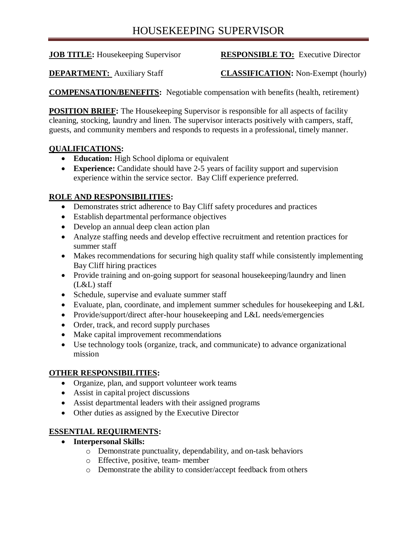# HOUSEKEEPING SUPERVISOR

# **JOB TITLE:** Housekeeping Supervisor **RESPONSIBLE TO:** Executive Director

**DEPARTMENT:** Auxiliary Staff **CLASSIFICATION:** Non-Exempt (hourly)

**COMPENSATION/BENEFITS:** Negotiable compensation with benefits (health, retirement)

**POSITION BRIEF:** The Housekeeping Supervisor is responsible for all aspects of facility cleaning, stocking, laundry and linen. The supervisor interacts positively with campers, staff, guests, and community members and responds to requests in a professional, timely manner.

# **QUALIFICATIONS:**

- **Education:** High School diploma or equivalent
- **Experience:** Candidate should have 2-5 years of facility support and supervision experience within the service sector. Bay Cliff experience preferred.

## **ROLE AND RESPONSIBILITIES:**

- Demonstrates strict adherence to Bay Cliff safety procedures and practices
- Establish departmental performance objectives
- Develop an annual deep clean action plan
- Analyze staffing needs and develop effective recruitment and retention practices for summer staff
- Makes recommendations for securing high quality staff while consistently implementing Bay Cliff hiring practices
- Provide training and on-going support for seasonal housekeeping/laundry and linen (L&L) staff
- Schedule, supervise and evaluate summer staff
- Evaluate, plan, coordinate, and implement summer schedules for housekeeping and L&L
- Provide/support/direct after-hour housekeeping and L&L needs/emergencies
- Order, track, and record supply purchases
- Make capital improvement recommendations
- Use technology tools (organize, track, and communicate) to advance organizational mission

#### **OTHER RESPONSIBILITIES:**

- Organize, plan, and support volunteer work teams
- Assist in capital project discussions
- Assist departmental leaders with their assigned programs
- Other duties as assigned by the Executive Director

# **ESSENTIAL REQUIRMENTS:**

- **Interpersonal Skills:**
	- o Demonstrate punctuality, dependability, and on-task behaviors
	- o Effective, positive, team- member
	- o Demonstrate the ability to consider/accept feedback from others